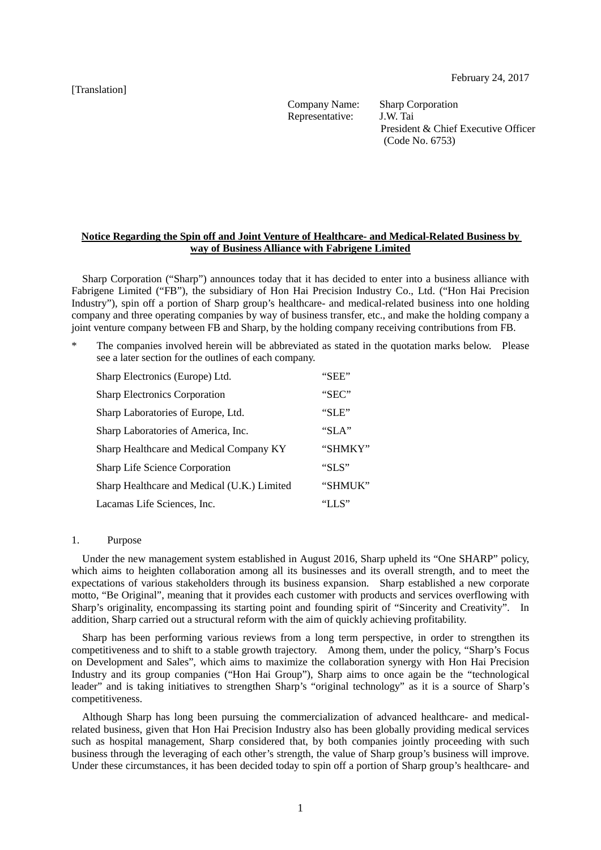[Translation]

Company Name: Sharp Corporation Representative: J.W. Tai

President & Chief Executive Officer (Code No. 6753)

## **Notice Regarding the Spin off and Joint Venture of Healthcare- and Medical-Related Business by way of Business Alliance with Fabrigene Limited**

Sharp Corporation ("Sharp") announces today that it has decided to enter into a business alliance with Fabrigene Limited ("FB"), the subsidiary of Hon Hai Precision Industry Co., Ltd. ("Hon Hai Precision Industry"), spin off a portion of Sharp group's healthcare- and medical-related business into one holding company and three operating companies by way of business transfer, etc., and make the holding company a joint venture company between FB and Sharp, by the holding company receiving contributions from FB.

The companies involved herein will be abbreviated as stated in the quotation marks below. Please see a later section for the outlines of each company.

| Sharp Electronics (Europe) Ltd.             | "SEE"     |
|---------------------------------------------|-----------|
| <b>Sharp Electronics Corporation</b>        | "SEC"     |
| Sharp Laboratories of Europe, Ltd.          | "SLE"     |
| Sharp Laboratories of America, Inc.         | " $SLA$ " |
| Sharp Healthcare and Medical Company KY     | "SHMKY"   |
| <b>Sharp Life Science Corporation</b>       | "SLS"     |
| Sharp Healthcare and Medical (U.K.) Limited | "SHMUK"   |
| Lacamas Life Sciences, Inc.                 | "I.S"     |

#### 1. Purpose

Under the new management system established in August 2016, Sharp upheld its "One SHARP" policy, which aims to heighten collaboration among all its businesses and its overall strength, and to meet the expectations of various stakeholders through its business expansion. Sharp established a new corporate motto, "Be Original", meaning that it provides each customer with products and services overflowing with Sharp's originality, encompassing its starting point and founding spirit of "Sincerity and Creativity". In addition, Sharp carried out a structural reform with the aim of quickly achieving profitability.

Sharp has been performing various reviews from a long term perspective, in order to strengthen its competitiveness and to shift to a stable growth trajectory. Among them, under the policy, "Sharp's Focus on Development and Sales", which aims to maximize the collaboration synergy with Hon Hai Precision Industry and its group companies ("Hon Hai Group"), Sharp aims to once again be the "technological leader" and is taking initiatives to strengthen Sharp's "original technology" as it is a source of Sharp's competitiveness.

Although Sharp has long been pursuing the commercialization of advanced healthcare- and medicalrelated business, given that Hon Hai Precision Industry also has been globally providing medical services such as hospital management, Sharp considered that, by both companies jointly proceeding with such business through the leveraging of each other's strength, the value of Sharp group's business will improve. Under these circumstances, it has been decided today to spin off a portion of Sharp group's healthcare- and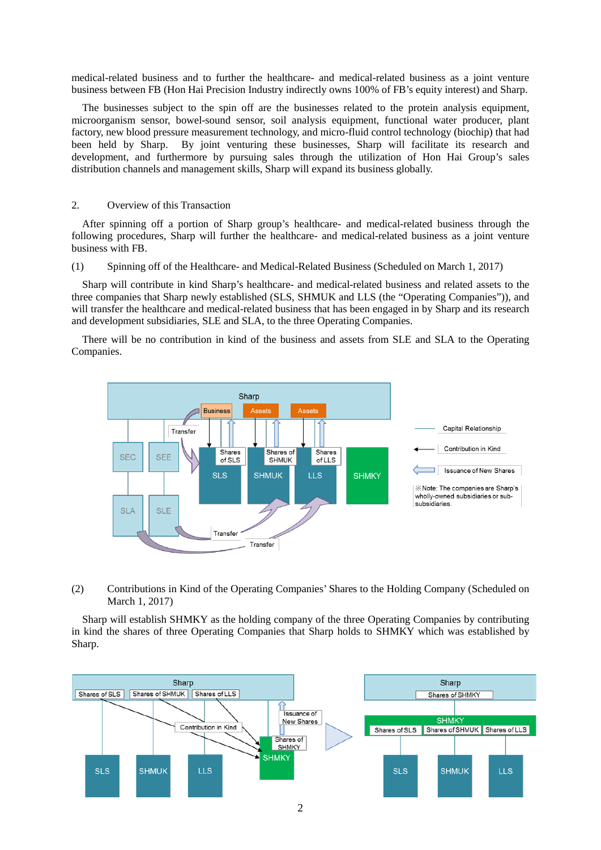medical-related business and to further the healthcare- and medical-related business as a joint venture business between FB (Hon Hai Precision Industry indirectly owns 100% of FB's equity interest) and Sharp.

The businesses subject to the spin off are the businesses related to the protein analysis equipment, microorganism sensor, bowel-sound sensor, soil analysis equipment, functional water producer, plant factory, new blood pressure measurement technology, and micro-fluid control technology (biochip) that had been held by Sharp. By joint venturing these businesses, Sharp will facilitate its research and development, and furthermore by pursuing sales through the utilization of Hon Hai Group's sales distribution channels and management skills, Sharp will expand its business globally.

## 2. Overview of this Transaction

After spinning off a portion of Sharp group's healthcare- and medical-related business through the following procedures, Sharp will further the healthcare- and medical-related business as a joint venture business with FB.

(1) Spinning off of the Healthcare- and Medical-Related Business (Scheduled on March 1, 2017)

Sharp will contribute in kind Sharp's healthcare- and medical-related business and related assets to the three companies that Sharp newly established (SLS, SHMUK and LLS (the "Operating Companies")), and will transfer the healthcare and medical-related business that has been engaged in by Sharp and its research and development subsidiaries, SLE and SLA, to the three Operating Companies.

There will be no contribution in kind of the business and assets from SLE and SLA to the Operating Companies.



(2) Contributions in Kind of the Operating Companies' Shares to the Holding Company (Scheduled on March 1, 2017)

Sharp will establish SHMKY as the holding company of the three Operating Companies by contributing in kind the shares of three Operating Companies that Sharp holds to SHMKY which was established by Sharp.

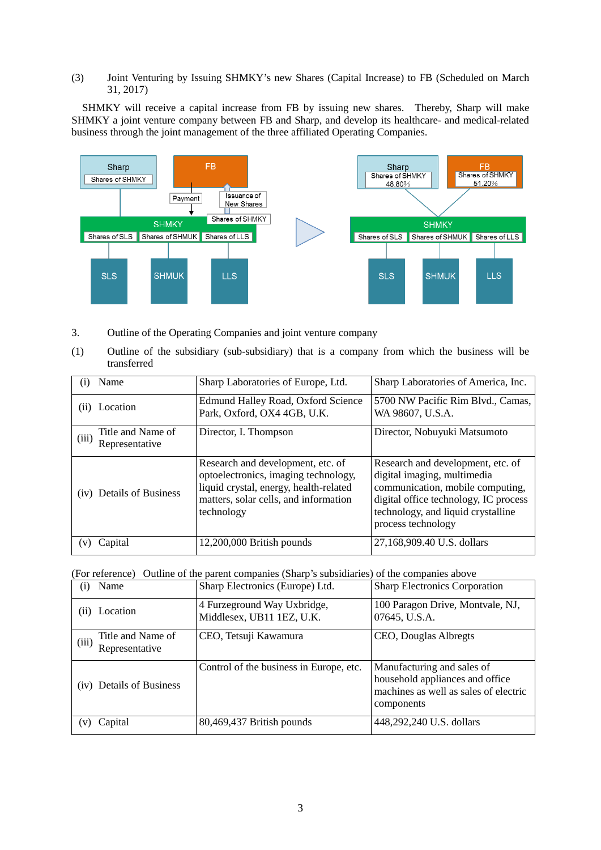## (3) Joint Venturing by Issuing SHMKY's new Shares (Capital Increase) to FB (Scheduled on March 31, 2017)

SHMKY will receive a capital increase from FB by issuing new shares. Thereby, Sharp will make SHMKY a joint venture company between FB and Sharp, and develop its healthcare- and medical-related business through the joint management of the three affiliated Operating Companies.



- 3. Outline of the Operating Companies and joint venture company
- (1) Outline of the subsidiary (sub-subsidiary) that is a company from which the business will be transferred

| $\left( 1 \right)$ | Name                                | Sharp Laboratories of Europe, Ltd.                                                                                                                                         | Sharp Laboratories of America, Inc.                                                                                                                                                                       |
|--------------------|-------------------------------------|----------------------------------------------------------------------------------------------------------------------------------------------------------------------------|-----------------------------------------------------------------------------------------------------------------------------------------------------------------------------------------------------------|
| (11)               | Location                            | <b>Edmund Halley Road, Oxford Science</b><br>Park, Oxford, OX4 4GB, U.K.                                                                                                   | 5700 NW Pacific Rim Blvd., Camas,<br>WA 98607, U.S.A.                                                                                                                                                     |
| (iii)              | Title and Name of<br>Representative | Director, I. Thompson                                                                                                                                                      | Director, Nobuyuki Matsumoto                                                                                                                                                                              |
|                    | (iv) Details of Business            | Research and development, etc. of<br>optoelectronics, imaging technology,<br>liquid crystal, energy, health-related<br>matters, solar cells, and information<br>technology | Research and development, etc. of<br>digital imaging, multimedia<br>communication, mobile computing,<br>digital office technology, IC process<br>technology, and liquid crystalline<br>process technology |
| (V)                | Capital                             | 12,200,000 British pounds                                                                                                                                                  | 27,168,909.40 U.S. dollars                                                                                                                                                                                |

(For reference) Outline of the parent companies (Sharp's subsidiaries) of the companies above

| Name<br>$\rm(i)$                             | Sharp Electronics (Europe) Ltd.                          | <b>Sharp Electronics Corporation</b>                                                                                 |
|----------------------------------------------|----------------------------------------------------------|----------------------------------------------------------------------------------------------------------------------|
| Location<br>(11)                             | 4 Furzeground Way Uxbridge,<br>Middlesex, UB11 1EZ, U.K. | 100 Paragon Drive, Montvale, NJ,<br>07645, U.S.A.                                                                    |
| Title and Name of<br>(iii)<br>Representative | CEO, Tetsuji Kawamura                                    | CEO, Douglas Albregts                                                                                                |
| (iv) Details of Business                     | Control of the business in Europe, etc.                  | Manufacturing and sales of<br>household appliances and office<br>machines as well as sales of electric<br>components |
| Capital<br>$\bf{V}$                          | 80,469,437 British pounds                                | 448,292,240 U.S. dollars                                                                                             |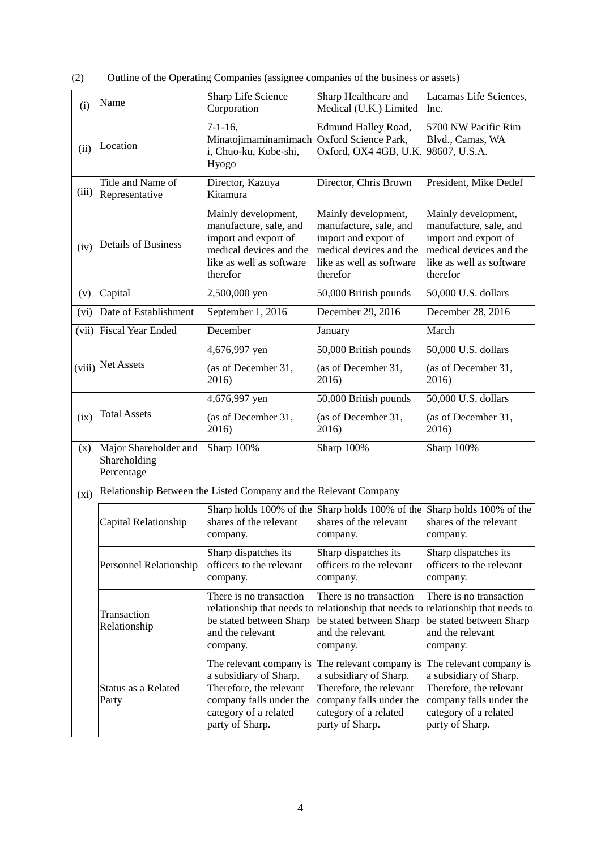(2) Outline of the Operating Companies (assignee companies of the business or assets)

| (i)   | Name                                                             | Sharp Life Science<br>Corporation                                                                                                                   | Sharp Healthcare and<br>Medical (U.K.) Limited                                                                                                      | Lacamas Life Sciences,<br>Inc.                                                                                                                                         |
|-------|------------------------------------------------------------------|-----------------------------------------------------------------------------------------------------------------------------------------------------|-----------------------------------------------------------------------------------------------------------------------------------------------------|------------------------------------------------------------------------------------------------------------------------------------------------------------------------|
| (ii)  | Location                                                         | $7-1-16$ ,<br>Minatojimaminamimach Oxford Science Park,<br>i, Chuo-ku, Kobe-shi,<br>Hyogo                                                           | Edmund Halley Road,<br>Oxford, OX4 4GB, U.K.                                                                                                        | 5700 NW Pacific Rim<br>Blvd., Camas, WA<br>98607, U.S.A.                                                                                                               |
| (iii) | Title and Name of<br>Representative                              | Director, Kazuya<br>Kitamura                                                                                                                        | Director, Chris Brown                                                                                                                               | President, Mike Detlef                                                                                                                                                 |
| (iv)  | <b>Details of Business</b>                                       | Mainly development,<br>manufacture, sale, and<br>import and export of<br>medical devices and the<br>like as well as software<br>therefor            | Mainly development,<br>manufacture, sale, and<br>import and export of<br>medical devices and the<br>like as well as software<br>therefor            | Mainly development,<br>manufacture, sale, and<br>import and export of<br>medical devices and the<br>like as well as software<br>therefor                               |
| (v)   | Capital                                                          | 2,500,000 yen                                                                                                                                       | 50,000 British pounds                                                                                                                               | 50,000 U.S. dollars                                                                                                                                                    |
| (vi)  | Date of Establishment                                            | September 1, 2016                                                                                                                                   | December 29, 2016                                                                                                                                   | December 28, 2016                                                                                                                                                      |
|       | (vii) Fiscal Year Ended                                          | December                                                                                                                                            | January                                                                                                                                             | March                                                                                                                                                                  |
|       |                                                                  | 4,676,997 yen                                                                                                                                       | 50,000 British pounds                                                                                                                               | 50,000 U.S. dollars                                                                                                                                                    |
|       | (viii) Net Assets                                                | (as of December 31,<br>2016)                                                                                                                        | (as of December 31,<br>2016)                                                                                                                        | (as of December 31,<br>2016)                                                                                                                                           |
|       |                                                                  | 4,676,997 yen                                                                                                                                       | 50,000 British pounds                                                                                                                               | 50,000 U.S. dollars                                                                                                                                                    |
| (ix)  | <b>Total Assets</b>                                              | (as of December 31,<br>2016)                                                                                                                        | (as of December 31,<br>2016)                                                                                                                        | (as of December 31,<br>2016)                                                                                                                                           |
| (x)   | Major Shareholder and<br>Shareholding<br>Percentage              | Sharp 100%                                                                                                                                          | Sharp 100%                                                                                                                                          | Sharp 100%                                                                                                                                                             |
| (xi)  | Relationship Between the Listed Company and the Relevant Company |                                                                                                                                                     |                                                                                                                                                     |                                                                                                                                                                        |
|       | Capital Relationship                                             | shares of the relevant<br>company.                                                                                                                  | Sharp holds 100% of the Sharp holds 100% of the Sharp holds 100% of the<br>shares of the relevant<br>company.                                       | shares of the relevant<br>company.                                                                                                                                     |
|       | Personnel Relationship                                           | Sharp dispatches its<br>officers to the relevant<br>company.                                                                                        | Sharp dispatches its<br>officers to the relevant<br>company.                                                                                        | Sharp dispatches its<br>officers to the relevant<br>company.                                                                                                           |
|       | Transaction<br>Relationship                                      | There is no transaction<br>be stated between Sharp<br>and the relevant<br>company.                                                                  | There is no transaction<br>be stated between Sharp<br>and the relevant<br>company.                                                                  | There is no transaction<br>relationship that needs to relationship that needs to relationship that needs to<br>be stated between Sharp<br>and the relevant<br>company. |
|       | Status as a Related<br>Party                                     | The relevant company is<br>a subsidiary of Sharp.<br>Therefore, the relevant<br>company falls under the<br>category of a related<br>party of Sharp. | The relevant company is<br>a subsidiary of Sharp.<br>Therefore, the relevant<br>company falls under the<br>category of a related<br>party of Sharp. | The relevant company is<br>a subsidiary of Sharp.<br>Therefore, the relevant<br>company falls under the<br>category of a related<br>party of Sharp.                    |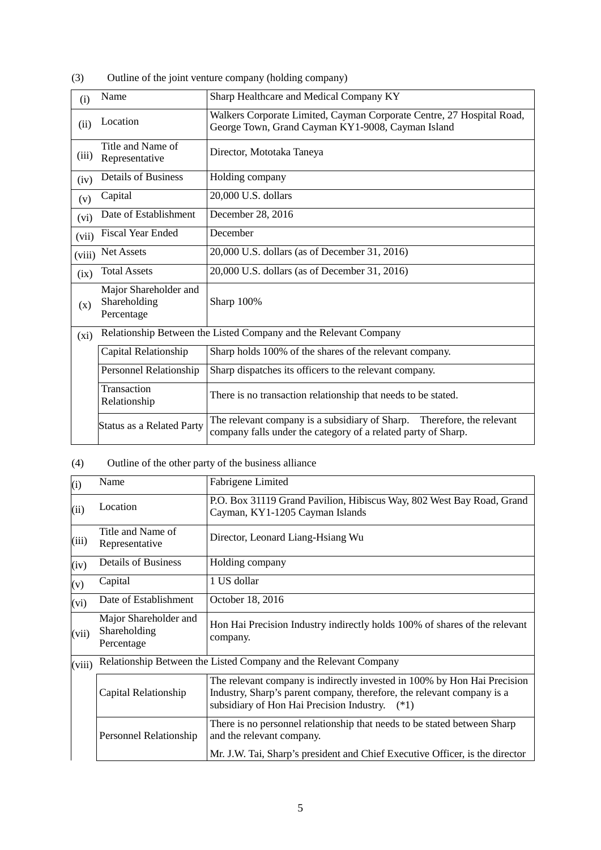| (3) | Outline of the joint venture company (holding company) |  |  |
|-----|--------------------------------------------------------|--|--|
|     |                                                        |  |  |

| (i)    | Name                                                | Sharp Healthcare and Medical Company KY                                                                                                 |
|--------|-----------------------------------------------------|-----------------------------------------------------------------------------------------------------------------------------------------|
| (ii)   | Location                                            | Walkers Corporate Limited, Cayman Corporate Centre, 27 Hospital Road,<br>George Town, Grand Cayman KY1-9008, Cayman Island              |
| (iii)  | Title and Name of<br>Representative                 | Director, Mototaka Taneya                                                                                                               |
| (iv)   | <b>Details of Business</b>                          | Holding company                                                                                                                         |
| (v)    | Capital                                             | 20,000 U.S. dollars                                                                                                                     |
| (vi)   | Date of Establishment                               | December 28, 2016                                                                                                                       |
| (vii)  | <b>Fiscal Year Ended</b>                            | December                                                                                                                                |
| (viii) | <b>Net Assets</b>                                   | 20,000 U.S. dollars (as of December 31, 2016)                                                                                           |
| (ix)   | <b>Total Assets</b>                                 | 20,000 U.S. dollars (as of December 31, 2016)                                                                                           |
| (x)    | Major Shareholder and<br>Shareholding<br>Percentage | Sharp 100%                                                                                                                              |
| (xi)   |                                                     | Relationship Between the Listed Company and the Relevant Company                                                                        |
|        | Capital Relationship                                | Sharp holds 100% of the shares of the relevant company.                                                                                 |
|        | Personnel Relationship                              | Sharp dispatches its officers to the relevant company.                                                                                  |
|        | Transaction<br>Relationship                         | There is no transaction relationship that needs to be stated.                                                                           |
|        | <b>Status as a Related Party</b>                    | The relevant company is a subsidiary of Sharp. Therefore, the relevant<br>company falls under the category of a related party of Sharp. |

# (4) Outline of the other party of the business alliance

| (i)    | Name                                                | Fabrigene Limited                                                                                                                                                                                      |  |
|--------|-----------------------------------------------------|--------------------------------------------------------------------------------------------------------------------------------------------------------------------------------------------------------|--|
| (ii)   | Location                                            | P.O. Box 31119 Grand Pavilion, Hibiscus Way, 802 West Bay Road, Grand<br>Cayman, KY1-1205 Cayman Islands                                                                                               |  |
| (iii)  | Title and Name of<br>Representative                 | Director, Leonard Liang-Hsiang Wu                                                                                                                                                                      |  |
| (iv)   | <b>Details of Business</b>                          | Holding company                                                                                                                                                                                        |  |
| (v)    | Capital                                             | 1 US dollar                                                                                                                                                                                            |  |
| (vi)   | Date of Establishment                               | October 18, 2016                                                                                                                                                                                       |  |
| (vii)  | Major Shareholder and<br>Shareholding<br>Percentage | Hon Hai Precision Industry indirectly holds 100% of shares of the relevant<br>company.                                                                                                                 |  |
| (viii) |                                                     | Relationship Between the Listed Company and the Relevant Company                                                                                                                                       |  |
|        | Capital Relationship                                | The relevant company is indirectly invested in 100% by Hon Hai Precision<br>Industry, Sharp's parent company, therefore, the relevant company is a<br>subsidiary of Hon Hai Precision Industry. $(*1)$ |  |
|        | Personnel Relationship                              | There is no personnel relationship that needs to be stated between Sharp<br>and the relevant company.<br>Mr. J.W. Tai, Sharp's president and Chief Executive Officer, is the director                  |  |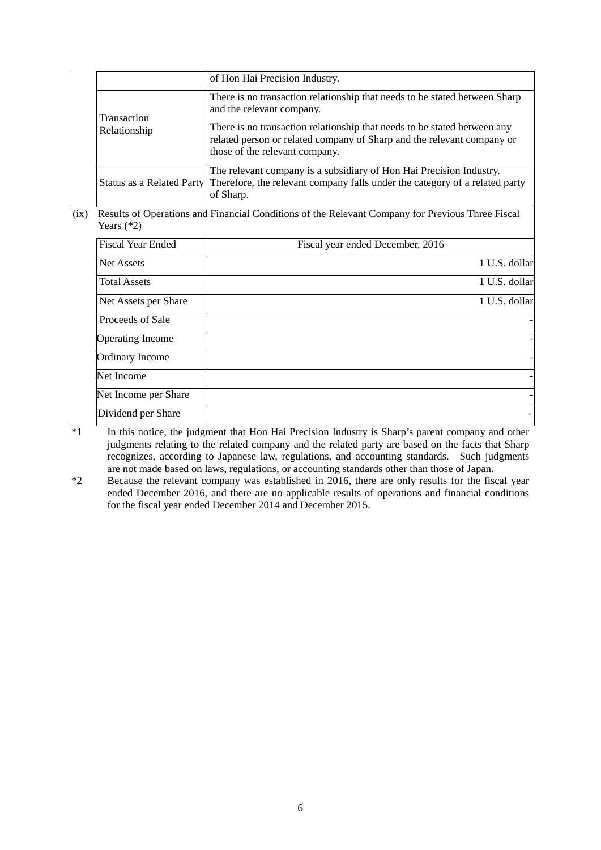|      |                                                                                           | of Hon Hai Precision Industry.                                                                                                                                                       |
|------|-------------------------------------------------------------------------------------------|--------------------------------------------------------------------------------------------------------------------------------------------------------------------------------------|
|      | Transaction                                                                               | There is no transaction relationship that needs to be stated between Sharp<br>and the relevant company.                                                                              |
|      | Relationship                                                                              | There is no transaction relationship that needs to be stated between any<br>related person or related company of Sharp and the relevant company or<br>those of the relevant company. |
|      | Status as a Related Party                                                                 | The relevant company is a subsidiary of Hon Hai Precision Industry.<br>Therefore, the relevant company falls under the category of a related party<br>of Sharp.                      |
| (ix) | Years $(*2)$                                                                              | Results of Operations and Financial Conditions of the Relevant Company for Previous Three Fiscal                                                                                     |
|      | <b>Fiscal Year Ended</b>                                                                  | Fiscal year ended December, 2016                                                                                                                                                     |
|      | <b>Net Assets</b>                                                                         | 1 U.S. dollar                                                                                                                                                                        |
|      | <b>Total Assets</b>                                                                       | 1 U.S. dollar                                                                                                                                                                        |
|      | Net Assets per Share                                                                      | 1 U.S. dollar                                                                                                                                                                        |
|      | Proceeds of Sale                                                                          |                                                                                                                                                                                      |
|      | <b>Operating Income</b>                                                                   |                                                                                                                                                                                      |
|      | <b>Ordinary Income</b>                                                                    |                                                                                                                                                                                      |
|      | Net Income                                                                                |                                                                                                                                                                                      |
|      | Net Income per Share                                                                      |                                                                                                                                                                                      |
|      | Dividend per Share<br>$\mathbf{v}$ and $\mathbf{v}$<br>$\sim$ $\sim$ $\sim$ $\sim$ $\sim$ | $\mathbf{u}$ and $\mathbf{v}$ and $\mathbf{v}$ and $\mathbf{v}$ and $\mathbf{v}$ and $\mathbf{v}$ and $\mathbf{v}$                                                                   |

<sup>\*1</sup> In this notice, the judgment that Hon Hai Precision Industry is Sharp's parent company and other judgments relating to the related company and the related party are based on the facts that Sharp recognizes, according to Japanese law, regulations, and accounting standards. Such judgments are not made based on laws, regulations, or accounting standards other than those of Japan.

\*2 Because the relevant company was established in 2016, there are only results for the fiscal year ended December 2016, and there are no applicable results of operations and financial conditions for the fiscal year ended December 2014 and December 2015.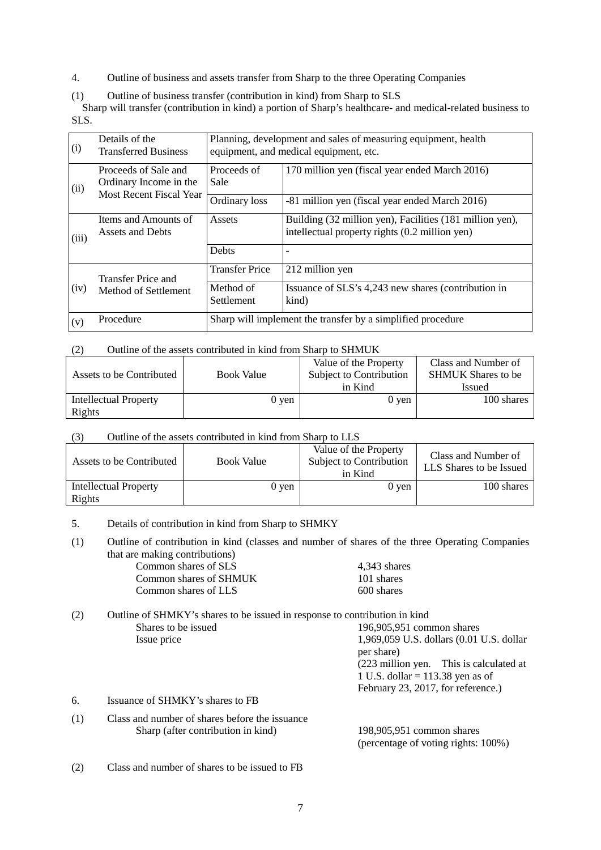- 4. Outline of business and assets transfer from Sharp to the three Operating Companies
- (1) Outline of business transfer (contribution in kind) from Sharp to SLS

Sharp will transfer (contribution in kind) a portion of Sharp's healthcare- and medical-related business to SLS.

| (i)   | Details of the<br><b>Transferred Business</b>                             | Planning, development and sales of measuring equipment, health<br>equipment, and medical equipment, etc. |                                                                                                            |  |
|-------|---------------------------------------------------------------------------|----------------------------------------------------------------------------------------------------------|------------------------------------------------------------------------------------------------------------|--|
| (ii)  | Proceeds of Sale and<br>Ordinary Income in the<br>Most Recent Fiscal Year | Proceeds of<br>Sale                                                                                      | 170 million yen (fiscal year ended March 2016)                                                             |  |
|       |                                                                           | Ordinary loss                                                                                            | -81 million yen (fiscal year ended March 2016)                                                             |  |
| (iii) | Items and Amounts of<br>Assets and Debts                                  | Assets                                                                                                   | Building (32 million yen), Facilities (181 million yen),<br>intellectual property rights (0.2 million yen) |  |
|       |                                                                           | <b>Debts</b>                                                                                             |                                                                                                            |  |
|       | Transfer Price and                                                        | <b>Transfer Price</b>                                                                                    | 212 million yen                                                                                            |  |
| (iv)  | Method of Settlement                                                      | Method of<br>Settlement                                                                                  | Issuance of SLS's 4,243 new shares (contribution in<br>kind)                                               |  |
| (v)   | Procedure                                                                 | Sharp will implement the transfer by a simplified procedure                                              |                                                                                                            |  |

### (2) Outline of the assets contributed in kind from Sharp to SHMUK

| Assets to be Contributed        | <b>Book Value</b> | Value of the Property<br>Subject to Contribution<br>in Kind | Class and Number of<br><b>SHMUK Shares to be</b><br><b>Issued</b> |
|---------------------------------|-------------------|-------------------------------------------------------------|-------------------------------------------------------------------|
| Intellectual Property<br>Rights | 0 yen             | 0 ven                                                       | 100 shares                                                        |

### (3) Outline of the assets contributed in kind from Sharp to LLS

| Assets to be Contributed        | <b>Book Value</b> | Value of the Property<br>Subject to Contribution<br>in Kind | Class and Number of<br>LLS Shares to be Issued |
|---------------------------------|-------------------|-------------------------------------------------------------|------------------------------------------------|
| Intellectual Property<br>Rights | 0 ven             | 0 ven                                                       | 100 shares                                     |

## 5. Details of contribution in kind from Sharp to SHMKY

(1) Outline of contribution in kind (classes and number of shares of the three Operating Companies that are making contributions)

| $4,343$ shares |
|----------------|
| 101 shares     |
| 600 shares     |
|                |

| (2) | Outline of SHMKY's shares to be issued in response to contribution in kind |                                                        |  |
|-----|----------------------------------------------------------------------------|--------------------------------------------------------|--|
|     | Shares to be issued                                                        | 196,905,951 common shares                              |  |
|     | Issue price                                                                | 1,969,059 U.S. dollars (0.01 U.S. dollar<br>per share) |  |
|     |                                                                            | (223 million yen. This is calculated at                |  |
|     |                                                                            | 1 U.S. dollar = $113.38$ yen as of                     |  |
|     |                                                                            | February 23, 2017, for reference.)                     |  |
| 6.  | Issuance of SHMKY's shares to FB                                           |                                                        |  |
| (1) | Class and number of shares before the issuance                             |                                                        |  |
|     | Sharp (after contribution in kind)                                         | 198,905,951 common shares                              |  |

(2) Class and number of shares to be issued to FB

(percentage of voting rights: 100%)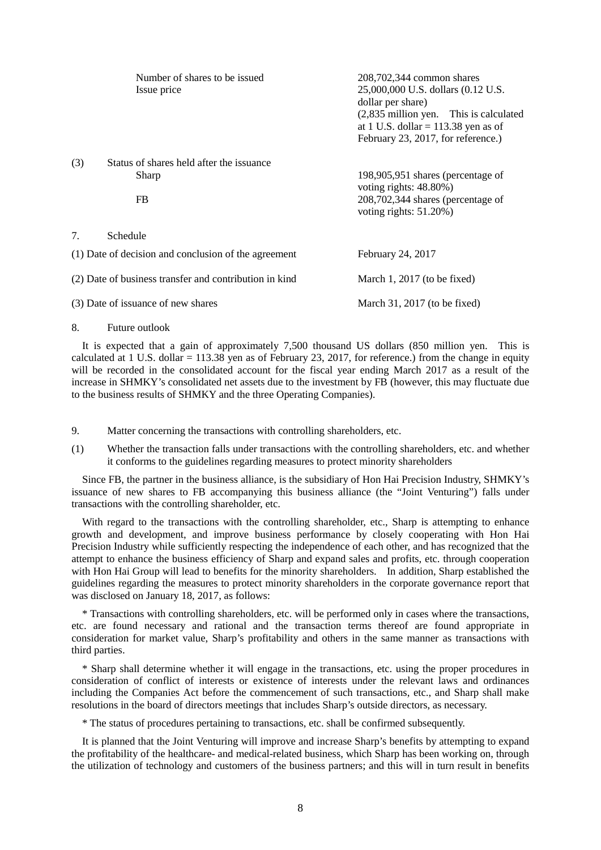|                                                        | Number of shares to be issued<br>Issue price             | 208,702,344 common shares<br>25,000,000 U.S. dollars (0.12 U.S.<br>dollar per share)<br>$(2,835)$ million yen. This is calculated<br>at 1 U.S. dollar = $113.38$ yen as of<br>February 23, 2017, for reference.) |
|--------------------------------------------------------|----------------------------------------------------------|------------------------------------------------------------------------------------------------------------------------------------------------------------------------------------------------------------------|
| (3)                                                    | Status of shares held after the issuance<br>Sharp<br>FB. | 198,905,951 shares (percentage of<br>voting rights: 48.80%)<br>$208,702,344$ shares (percentage of<br>voting rights: $51.20\%$ )                                                                                 |
| 7.                                                     | Schedule                                                 |                                                                                                                                                                                                                  |
| (1) Date of decision and conclusion of the agreement   |                                                          | February 24, 2017                                                                                                                                                                                                |
| (2) Date of business transfer and contribution in kind |                                                          | March 1, $2017$ (to be fixed)                                                                                                                                                                                    |
| (3) Date of issuance of new shares                     |                                                          | March 31, 2017 (to be fixed)                                                                                                                                                                                     |

8. Future outlook

It is expected that a gain of approximately 7,500 thousand US dollars (850 million yen. This is calculated at 1 U.S. dollar = 113.38 yen as of February 23, 2017, for reference.) from the change in equity will be recorded in the consolidated account for the fiscal year ending March 2017 as a result of the increase in SHMKY's consolidated net assets due to the investment by FB (however, this may fluctuate due to the business results of SHMKY and the three Operating Companies).

9. Matter concerning the transactions with controlling shareholders, etc.

(1) Whether the transaction falls under transactions with the controlling shareholders, etc. and whether it conforms to the guidelines regarding measures to protect minority shareholders

Since FB, the partner in the business alliance, is the subsidiary of Hon Hai Precision Industry, SHMKY's issuance of new shares to FB accompanying this business alliance (the "Joint Venturing") falls under transactions with the controlling shareholder, etc.

With regard to the transactions with the controlling shareholder, etc., Sharp is attempting to enhance growth and development, and improve business performance by closely cooperating with Hon Hai Precision Industry while sufficiently respecting the independence of each other, and has recognized that the attempt to enhance the business efficiency of Sharp and expand sales and profits, etc. through cooperation with Hon Hai Group will lead to benefits for the minority shareholders. In addition, Sharp established the guidelines regarding the measures to protect minority shareholders in the corporate governance report that was disclosed on January 18, 2017, as follows:

\* Transactions with controlling shareholders, etc. will be performed only in cases where the transactions, etc. are found necessary and rational and the transaction terms thereof are found appropriate in consideration for market value, Sharp's profitability and others in the same manner as transactions with third parties.

\* Sharp shall determine whether it will engage in the transactions, etc. using the proper procedures in consideration of conflict of interests or existence of interests under the relevant laws and ordinances including the Companies Act before the commencement of such transactions, etc., and Sharp shall make resolutions in the board of directors meetings that includes Sharp's outside directors, as necessary.

\* The status of procedures pertaining to transactions, etc. shall be confirmed subsequently.

It is planned that the Joint Venturing will improve and increase Sharp's benefits by attempting to expand the profitability of the healthcare- and medical-related business, which Sharp has been working on, through the utilization of technology and customers of the business partners; and this will in turn result in benefits